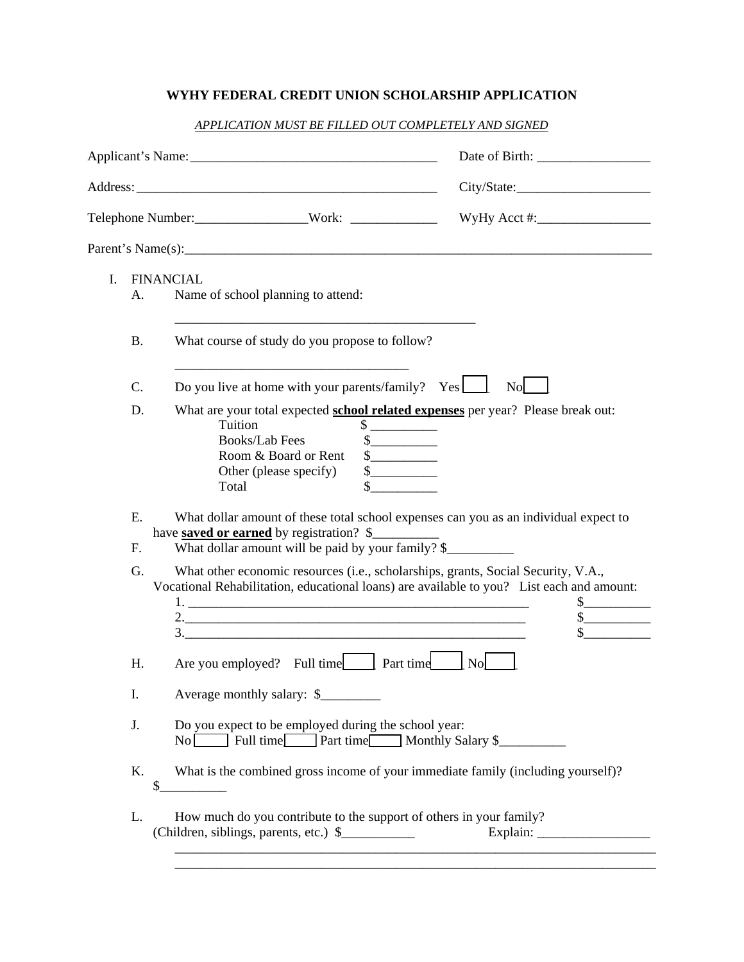## **WYHY FEDERAL CREDIT UNION SCHOLARSHIP APPLICATION**

| APPLICATION MUST BE FILLED OUT COMPLETELY AND SIGNED |  |  |
|------------------------------------------------------|--|--|
|                                                      |  |  |

|                    |                                                                                                                                                                                                                                                                                                                                                                                                                                                                                                          | City/State:                      |  |
|--------------------|----------------------------------------------------------------------------------------------------------------------------------------------------------------------------------------------------------------------------------------------------------------------------------------------------------------------------------------------------------------------------------------------------------------------------------------------------------------------------------------------------------|----------------------------------|--|
|                    | Telephone Number: _____________________Work: ___________________________________                                                                                                                                                                                                                                                                                                                                                                                                                         |                                  |  |
|                    |                                                                                                                                                                                                                                                                                                                                                                                                                                                                                                          |                                  |  |
| $\mathbf{L}$<br>А. | <b>FINANCIAL</b><br>Name of school planning to attend:                                                                                                                                                                                                                                                                                                                                                                                                                                                   |                                  |  |
| <b>B.</b>          | <u> 1980 - Johann John Stone, mars and de final and de final and de final and de final and de final and de final</u><br>What course of study do you propose to follow?                                                                                                                                                                                                                                                                                                                                   |                                  |  |
| C.                 | Do you live at home with your parents/family? $Yes$                                                                                                                                                                                                                                                                                                                                                                                                                                                      | N <sub>0</sub>                   |  |
| D.                 | What are your total expected school related expenses per year? Please break out:<br>Tuition<br>$\sim$<br><b>Books/Lab Fees</b><br>$\frac{1}{2}$<br>Room & Board or Rent<br>s<br>s<br>Other (please specify)<br>Total                                                                                                                                                                                                                                                                                     |                                  |  |
| E.<br>F.           | What dollar amount of these total school expenses can you as an individual expect to<br>have <b>saved or earned</b> by registration? \$<br>What dollar amount will be paid by your family? \$                                                                                                                                                                                                                                                                                                            |                                  |  |
| G.                 | What other economic resources (i.e., scholarships, grants, Social Security, V.A.,<br>Vocational Rehabilitation, educational loans) are available to you? List each and amount:<br>$3.$ $\frac{1}{2}$ $\frac{1}{2}$ $\frac{1}{2}$ $\frac{1}{2}$ $\frac{1}{2}$ $\frac{1}{2}$ $\frac{1}{2}$ $\frac{1}{2}$ $\frac{1}{2}$ $\frac{1}{2}$ $\frac{1}{2}$ $\frac{1}{2}$ $\frac{1}{2}$ $\frac{1}{2}$ $\frac{1}{2}$ $\frac{1}{2}$ $\frac{1}{2}$ $\frac{1}{2}$ $\frac{1}{2}$ $\frac{1}{2}$ $\frac{1}{2}$ $\frac{1}{$ | $\frac{\text{S}}{\text{S}}$<br>s |  |
| Η.                 | Are you employed? Full time Part time                                                                                                                                                                                                                                                                                                                                                                                                                                                                    | $\mathbf{N}\mathbf{o}$           |  |
| I.                 | Average monthly salary: \$                                                                                                                                                                                                                                                                                                                                                                                                                                                                               |                                  |  |
| J.                 | Do you expect to be employed during the school year:<br>No Full time Part time Monthly Salary \$                                                                                                                                                                                                                                                                                                                                                                                                         |                                  |  |
| K.                 | What is the combined gross income of your immediate family (including yourself)?<br>\$                                                                                                                                                                                                                                                                                                                                                                                                                   |                                  |  |
| L.                 | How much do you contribute to the support of others in your family?                                                                                                                                                                                                                                                                                                                                                                                                                                      |                                  |  |
|                    |                                                                                                                                                                                                                                                                                                                                                                                                                                                                                                          |                                  |  |